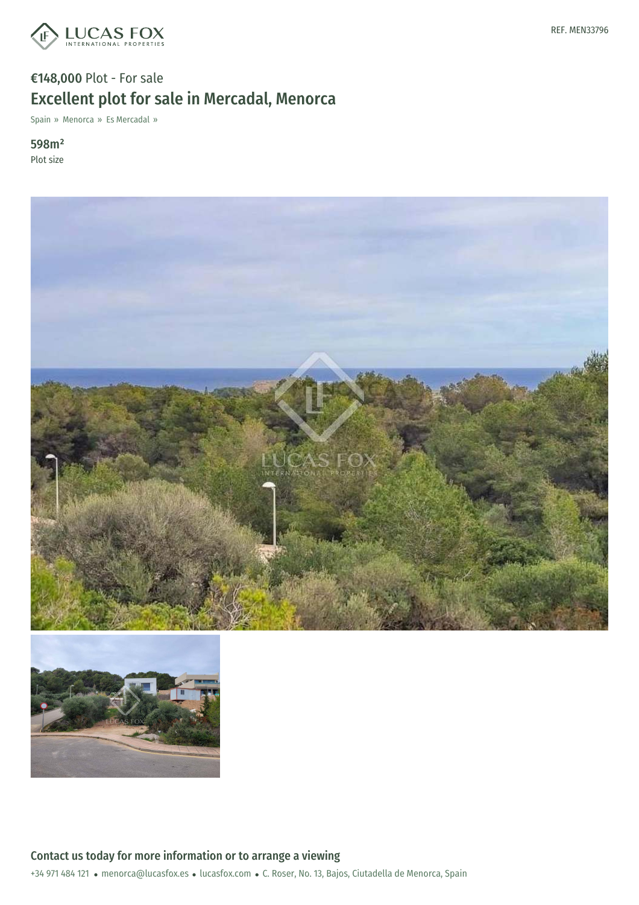

# €148,000 Plot - For sale Excellent plot for sale in Mercadal, Menorca

Spain » Menorca » Es Mercadal »

598m² Plot size



![](_page_0_Picture_5.jpeg)